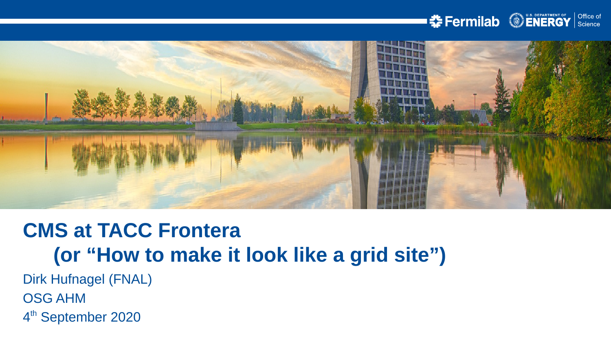



# **CMS at TACC Frontera (or "How to make it look like a grid site")**

Dirk Hufnagel (FNAL) OSG AHM

4<sup>th</sup> September 2020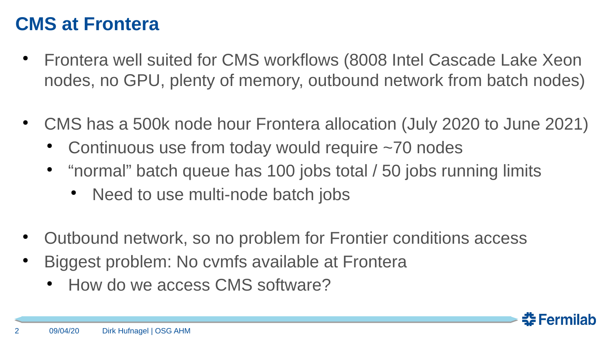### **CMS at Frontera**

- Frontera well suited for CMS workflows (8008 Intel Cascade Lake Xeon nodes, no GPU, plenty of memory, outbound network from batch nodes)
- CMS has a 500k node hour Frontera allocation (July 2020 to June 2021)
	- Continuous use from today would require  $\sim$ 70 nodes
	- "normal" batch queue has 100 jobs total / 50 jobs running limits
		- Need to use multi-node batch jobs
- Outbound network, so no problem for Frontier conditions access
- Biggest problem: No cvmfs available at Frontera
	- How do we access CMS software?

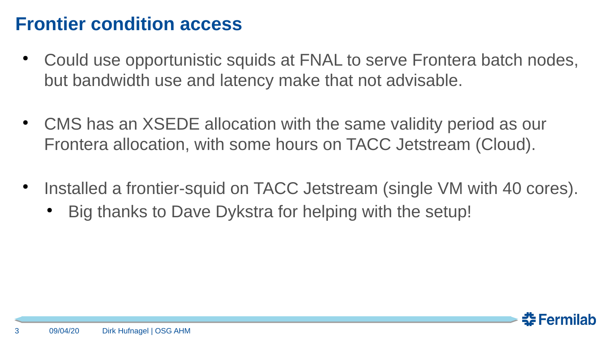## **Frontier condition access**

- Could use opportunistic squids at FNAL to serve Frontera batch nodes, but bandwidth use and latency make that not advisable.
- CMS has an XSEDE allocation with the same validity period as our Frontera allocation, with some hours on TACC Jetstream (Cloud).
- $\bullet$ Installed a frontier-squid on TACC Jetstream (single VM with 40 cores).
	- Big thanks to Dave Dykstra for helping with the setup!

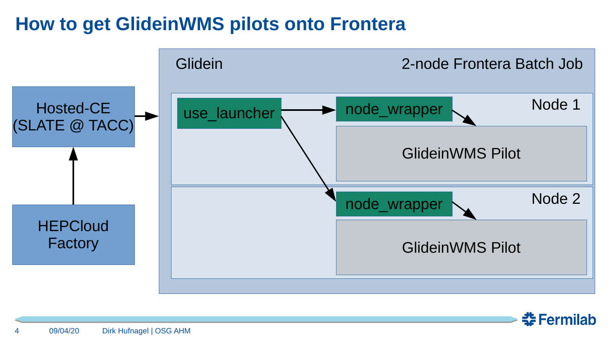# **How to get GlideinWMS pilots onto Frontera**



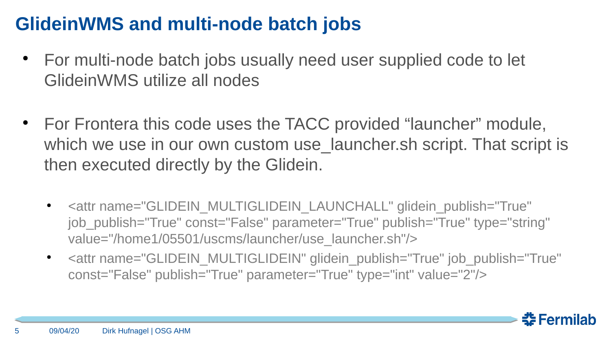# **GlideinWMS and multi-node batch jobs**

- For multi-node batch jobs usually need user supplied code to let GlideinWMS utilize all nodes
- For Frontera this code uses the TACC provided "launcher" module, which we use in our own custom use launcher.sh script. That script is then executed directly by the Glidein.
	- <attr name="GLIDEIN\_MULTIGLIDEIN\_LAUNCHALL" glidein\_publish="True" job\_publish="True" const="False" parameter="True" publish="True" type="string" value="/home1/05501/uscms/launcher/use\_launcher.sh"/>
	- <attr name="GLIDEIN\_MULTIGLIDEIN" glidein\_publish="True" job\_publish="True" const="False" publish="True" parameter="True" type="int" value="2"/>

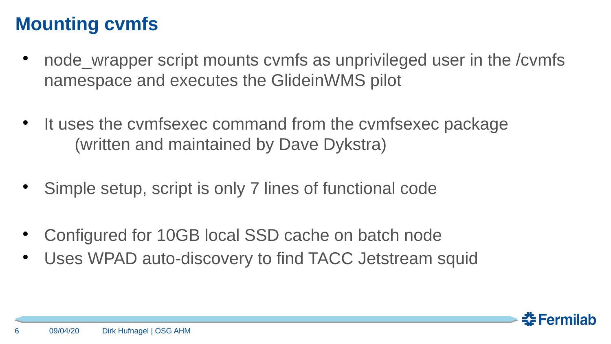# **Mounting cvmfs**

- node wrapper script mounts cvmfs as unprivileged user in the /cvmfs namespace and executes the GlideinWMS pilot
- $\bullet$ It uses the cvmfsexec command from the cvmfsexec package (written and maintained by Dave Dykstra)
- Simple setup, script is only 7 lines of functional code
- Configured for 10GB local SSD cache on batch node
- Uses WPAD auto-discovery to find TACC Jetstream squid

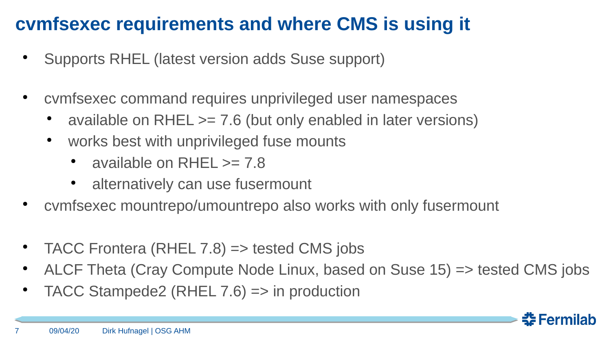# **cvmfsexec requirements and where CMS is using it**

- Supports RHEL (latest version adds Suse support)
- cvmfsexec command requires unprivileged user namespaces
	- available on RHEL  $>= 7.6$  (but only enabled in later versions)
	- works best with unprivileged fuse mounts
		- available on RHFL  $\geq$  7.8
		- alternatively can use fusermount
- cymfsexec mountrepo/umountrepo also works with only fusermount
- TACC Frontera (RHEL 7.8)  $\Rightarrow$  tested CMS jobs
- ALCF Theta (Cray Compute Node Linux, based on Suse  $15$ ) => tested CMS jobs
- TACC Stampede2 (RHEL  $7.6$ ) => in production

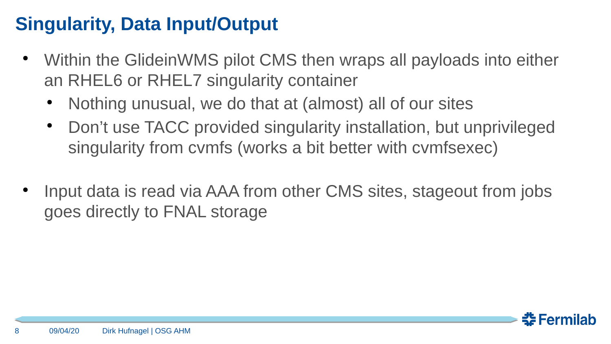# **Singularity, Data Input/Output**

- Within the GlideinWMS pilot CMS then wraps all payloads into either an RHEL6 or RHEL7 singularity container
	- Nothing unusual, we do that at (almost) all of our sites
	- Don't use TACC provided singularity installation, but unprivileged singularity from cvmfs (works a bit better with cvmfsexec)
- Input data is read via AAA from other CMS sites, stageout from jobs goes directly to FNAL storage

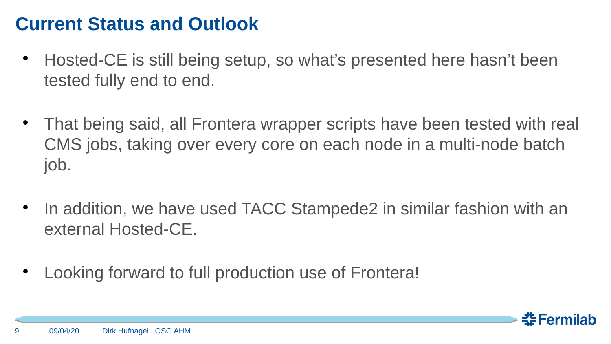### **Current Status and Outlook**

- Hosted-CE is still being setup, so what's presented here hasn't been tested fully end to end.
- That being said, all Frontera wrapper scripts have been tested with real CMS jobs, taking over every core on each node in a multi-node batch job.
- In addition, we have used TACC Stampede2 in similar fashion with an external Hosted-CE.
- Looking forward to full production use of Frontera!

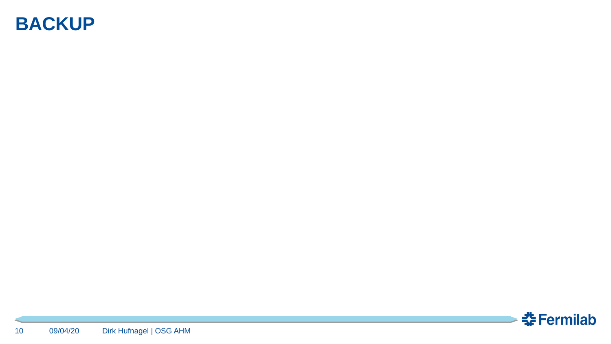#### **BACKUP**

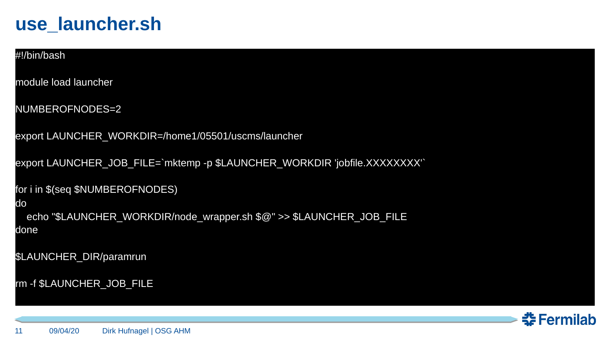#### **use\_launcher.sh**

#### #!/bin/bash

module load launcher

NUMBEROFNODES=2

export LAUNCHER\_WORKDIR=/home1/05501/uscms/launcher

export LAUNCHER\_JOB\_FILE=`mktemp -p \$LAUNCHER\_WORKDIR 'jobfile.XXXXXXXX'`

for i in \$(seq \$NUMBEROFNODES)

#### do

echo "\$LAUNCHER\_WORKDIR/node\_wrapper.sh \$@" >> \$LAUNCHER\_JOB\_FILE done

\$LAUNCHER\_DIR/paramrun

```
rm -f $LAUNCHER_JOB_FILE
```
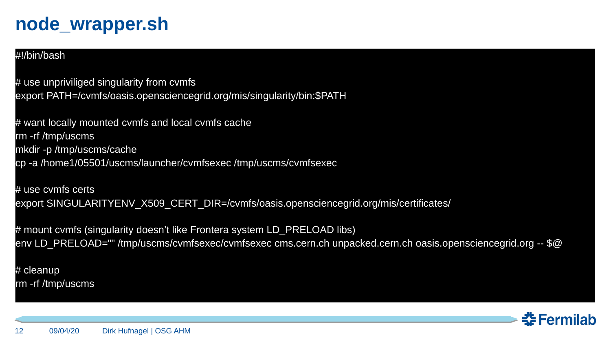### **node\_wrapper.sh**

#### #!/bin/bash

# use unpriviliged singularity from cvmfs export PATH=/cvmfs/oasis.opensciencegrid.org/mis/singularity/bin:\$PATH

# want locally mounted cvmfs and local cvmfs cache rm -rf /tmp/uscms mkdir -p /tmp/uscms/cache cp -a /home1/05501/uscms/launcher/cvmfsexec /tmp/uscms/cvmfsexec

# use cvmfs certs export SINGULARITYENV X509 CERT DIR=/cvmfs/oasis.opensciencegrid.org/mis/certificates/

# mount cymfs (singularity doesn't like Frontera system LD\_PRELOAD libs) env LD\_PRELOAD="" /tmp/uscms/cvmfsexec/cvmfsexec cms.cern.ch unpacked.cern.ch oasis.opensciencegrid.org -- \$@

# cleanup rm -rf /tmp/uscms